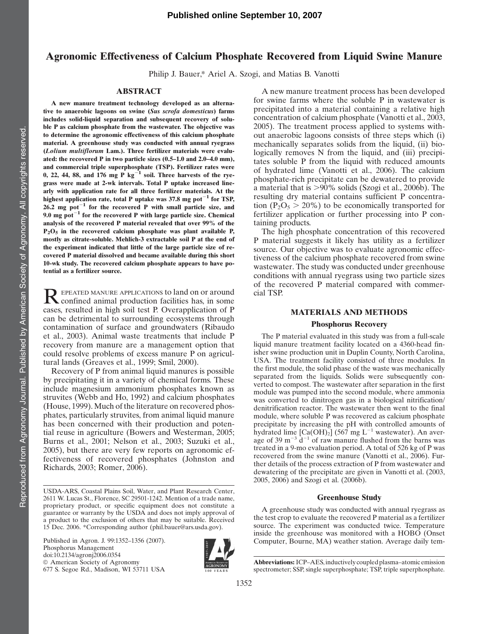# Agronomic Effectiveness of Calcium Phosphate Recovered from Liquid Swine Manure

Philip J. Bauer,\* Ariel A. Szogi, and Matias B. Vanotti

## ABSTRACT

A new manure treatment technology developed as an alternative to anaerobic lagoons on swine (Sus scrofa domesticus) farms includes solid-liquid separation and subsequent recovery of soluble P as calcium phosphate from the wastewater. The objective was to determine the agronomic effectiveness of this calcium phosphate material. A greenhouse study was conducted with annual ryegrass (Lolium multiflorum Lam.). Three fertilizer materials were evaluated: the recovered P in two particle sizes (0.5–1.0 and 2.0–4.0 mm), and commercial triple superphosphate (TSP). Fertilizer rates were 0, 22, 44, 88, and  $176$  mg P kg $^{-1}$  soil. Three harvests of the ryegrass were made at 2-wk intervals. Total P uptake increased linearly with application rate for all three fertilizer materials. At the highest application rate, total P uptake was 37.8 mg pot<sup> $-1$ </sup> for TSP,  $26.2$  mg  $pot^{-1}$  for the recovered P with small particle size, and 9.0 mg  $pot^{-1}$  for the recovered P with large particle size. Chemical analysis of the recovered P material revealed that over 99% of the  $P_2O_5$  in the recovered calcium phosphate was plant available P, mostly as citrate-soluble. Mehlich-3 extractable soil P at the end of the experiment indicated that little of the large particle size of recovered P material dissolved and became available during this short 10-wk study. The recovered calcium phosphate appears to have potential as a fertilizer source.

REPEATED MANURE APPLICATIONS to land on or around<br>confined animal production facilities has, in some<br>contract in this best in the Commention of D cases, resulted in high soil test P. Overapplication of P can be detrimental to surrounding ecosystems through contamination of surface and groundwaters (Ribaudo et al., 2003). Animal waste treatments that include P recovery from manure are a management option that could resolve problems of excess manure P on agricultural lands (Greaves et al., 1999; Smil, 2000).

Recovery of P from animal liquid manures is possible by precipitating it in a variety of chemical forms. These include magnesium ammonium phosphates known as struvites (Webb and Ho, 1992) and calcium phosphates (House, 1999). Much of the literature on recovered phosphates, particularly struvites, from animal liquid manure has been concerned with their production and potential reuse in agriculture (Bowers and Westerman, 2005; Burns et al., 2001; Nelson et al., 2003; Suzuki et al., 2005), but there are very few reports on agronomic effectiveness of recovered phosphates (Johnston and Richards, 2003; Romer, 2006).

Published in Agron. J. 99:1352–1356 (2007). Phosphorus Management doi:10.2134/agronj2006.0354  $\circ$  American Society of Agronomy 677 S. Segoe Rd., Madison, WI 53711 USA



A new manure treatment process has been developed for swine farms where the soluble P in wastewater is precipitated into a material containing a relative high concentration of calcium phosphate (Vanotti et al., 2003, 2005). The treatment process applied to systems without anaerobic lagoons consists of three steps which (i) mechanically separates solids from the liquid, (ii) biologically removes N from the liquid, and (iii) precipitates soluble P from the liquid with reduced amounts of hydrated lime (Vanotti et al., 2006). The calcium phosphate-rich precipitate can be dewatered to provide a material that is  $>90\%$  solids (Szogi et al., 2006b). The resulting dry material contains sufficient P concentration ( $P_2O_5 > 20\%$ ) to be economically transported for fertilizer application or further processing into P containing products.

The high phosphate concentration of this recovered P material suggests it likely has utility as a fertilizer source. Our objective was to evaluate agronomic effectiveness of the calcium phosphate recovered from swine wastewater. The study was conducted under greenhouse conditions with annual ryegrass using two particle sizes of the recovered P material compared with commercial TSP.

## MATERIALS AND METHODS

## Phosphorus Recovery

The P material evaluated in this study was from a full-scale liquid manure treatment facility located on a 4360-head finisher swine production unit in Duplin County, North Carolina, USA. The treatment facility consisted of three modules. In the first module, the solid phase of the waste was mechanically separated from the liquids. Solids were subsequently converted to compost. The wastewater after separation in the first module was pumped into the second module, where ammonia was converted to dinitrogen gas in a biological nitrification/ denitrification reactor. The wastewater then went to the final module, where soluble P was recovered as calcium phosphate precipitate by increasing the pH with controlled amounts of hydrated lime  $\text{[Ca(OH)_2]}$  (567 mg L<sup>-1</sup> wastewater). An average of 39 m<sup>-3</sup>  $d^{-1}$  of raw manure flushed from the barns was treated in a 9-mo evaluation period. A total of 526 kg of P was recovered from the swine manure (Vanotti et al., 2006). Further details of the process extraction of P from wastewater and dewatering of the precipitate are given in Vanotti et al. (2003, 2005, 2006) and Szogi et al. (2006b).

## Greenhouse Study

A greenhouse study was conducted with annual ryegrass as the test crop to evaluate the recovered P material as a fertilizer source. The experiment was conducted twice. Temperature inside the greenhouse was monitored with a HOBO (Onset Computer, Bourne, MA) weather station. Average daily tem-

Abbreviations: ICP–AES, inductively coupled plasma–atomic emission spectrometer; SSP, single superphosphate; TSP, triple superphosphate.

USDA-ARS, Coastal Plains Soil, Water, and Plant Research Center, 2611 W. Lucas St., Florence, SC 29501-1242. Mention of a trade name, proprietary product, or specific equipment does not constitute a guarantee or warranty by the USDA and does not imply approval of a product to the exclusion of others that may be suitable. Received 15 Dec. 2006. \*Corresponding author (phil.bauer@ars.usda.gov).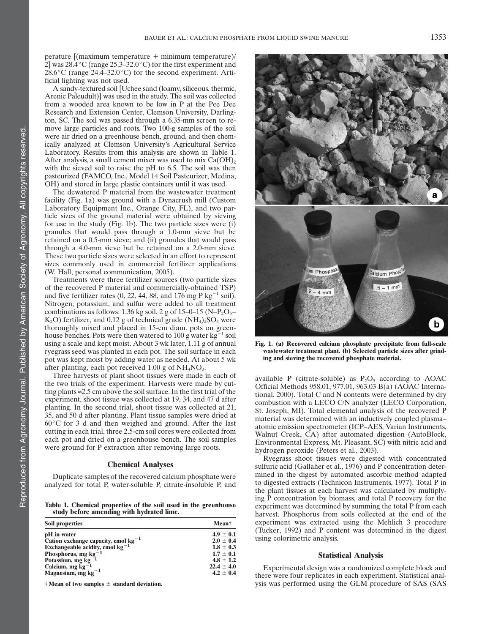perature  $[(maximum temperature + minimum temperature)]$ 2] was  $28.\overline{4}^{\circ}C$  (range  $25.3-32.0^{\circ}C$ ) for the first experiment and  $28.6^{\circ}$ C (range  $24.4-32.0^{\circ}$ C) for the second experiment. Artificial lighting was not used.

A sandy-textured soil [Uchee sand (loamy, siliceous, thermic, Arenic Paleudult)] was used in the study. The soil was collected from a wooded area known to be low in P at the Pee Dee Research and Extension Center, Clemson University, Darlington, SC. The soil was passed through a 6.35-mm screen to remove large particles and roots. Two 100-g samples of the soil were air dried on a greenhouse bench, ground, and then chemically analyzed at Clemson University's Agricultural Service Laboratory. Results from this analysis are shown in Table 1. After analysis, a small cement mixer was used to mix  $Ca(OH)_{2}$ with the sieved soil to raise the pH to 6.5. The soil was then pasteurized (FAMCO, Inc., Model 14 Soil Pasteurizer, Medina, OH) and stored in large plastic containers until it was used.

The dewatered P material from the wastewater treatment facility (Fig. 1a) was ground with a Dynacrush mill (Custom Laboratory Equipment Inc., Orange City, FL), and two particle sizes of the ground material were obtained by sieving for use in the study (Fig. 1b). The two particle sizes were (i) granules that would pass through a 1.0-mm sieve but be retained on a 0.5-mm sieve; and (ii) granules that would pass through a 4.0-mm sieve but be retained on a 2.0-mm sieve. These two particle sizes were selected in an effort to represent sizes commonly used in commercial fertilizer applications (W. Hall, personal communication, 2005).

Treatments were three fertilizer sources (two particle sizes of the recovered P material and commercially-obtained TSP) and five fertilizer rates  $(0, 22, 44, 88,$  and 176 mg P kg<sup>-1</sup> soil). Nitrogen, potassium, and sulfur were added to all treatment combinations as follows: 1.36 kg soil, 2 g of 15–0–15 (N–P<sub>2</sub>O<sub>5</sub>–  $K_2O$ ) fertilizer, and 0.12 g of technical grade (NH<sub>4</sub>)<sub>2</sub>SO<sub>4</sub> were thoroughly mixed and placed in 15-cm diam. pots on greenhouse benches. Pots were then watered to 100 g water  $kg^{-1}$  soil using a scale and kept moist. About 3 wk later, 1.11 g of annual ryegrass seed was planted in each pot. The soil surface in each pot was kept moist by adding water as needed. At about 5 wk after planting, each pot received  $1.00$  g of  $NH<sub>4</sub>NO<sub>3</sub>$ .

Three harvests of plant shoot tissues were made in each of the two trials of the experiment. Harvests were made by cutting plants *»*2.5 cm above the soil surface. In the first trial of the experiment, shoot tissue was collected at 19, 34, and 47 d after planting. In the second trial, shoot tissue was collected at 21, 35, and 50 d after planting. Plant tissue samples were dried at  $60^{\circ}$ C for 3 d and then weighed and ground. After the last cutting in each trial, three 2.5-cm soil cores were collected from each pot and dried on a greenhouse bench. The soil samples were ground for P extraction after removing large roots.

#### Chemical Analyses

Duplicate samples of the recovered calcium phosphate were analyzed for total P, water-soluble P, citrate-insoluble P, and

Table 1. Chemical properties of the soil used in the greenhouse study before amending with hydrated lime.

| <b>Soil properties</b>                   | Mean <sup>†</sup> |
|------------------------------------------|-------------------|
| pH in water                              | $4.9 \pm 0.1$     |
| Cation exchange capacity, cmol $kg^{-1}$ | $2.0 \pm 0.4$     |
| Exchangeable acidity, cmol $kg^{-1}$     | $1.8 \pm 0.3$     |
| Phosphorus, mg $kg^{-1}$                 | $1.7 \pm 0.1$     |
| Potassium, mg $kg^{-1}$                  | $4.8 \pm 1.2$     |
| Calcium, mg $kg-1$                       | $22.4 \pm 4.0$    |
| Magnesium, mg $kg^{-1}$                  | $4.2 \pm 0.4$     |

 $\dagger$  Mean of two samples  $\pm$  standard deviation.

um Phosphal Calcium Phosp  $.5 - 1$  mm  $-4$  mm b

Fig. 1. (a) Recovered calcium phosphate precipitate from full-scale wastewater treatment plant. (b) Selected particle sizes after grinding and sieving the recovered phosphate material.

available P (citrate-soluble) as  $P_2O_5$  according to AOAC Official Methods 958.01, 977.01, 963.03 B(a) (AOAC International, 2000). Total C and N contents were determined by dry combustion with a LECO C/N analyzer (LECO Corporation, St. Joseph, MI). Total elemental analysis of the recovered P material was determined with an inductively coupled plasma– atomic emission spectrometer (ICP–AES, Varian Instruments, Walnut Creek, CA) after automated digestion (AutoBlock, Environmental Express, Mt. Pleasant, SC) with nitric acid and hydrogen peroxide (Peters et al., 2003).

Ryegrass shoot tissues were digested with concentrated sulfuric acid (Gallaher et al., 1976) and P concentration determined in the digest by automated ascorbic method adapted to digested extracts (Technicon Instruments, 1977). Total P in the plant tissues at each harvest was calculated by multiplying P concentration by biomass, and total P recovery for the experiment was determined by summing the total P from each harvest. Phosphorus from soils collected at the end of the experiment was extracted using the Mehlich 3 procedure (Tucker, 1992) and P content was determined in the digest using colorimetric analysis.

#### Statistical Analysis

Experimental design was a randomized complete block and there were four replicates in each experiment. Statistical analysis was performed using the GLM procedure of SAS (SAS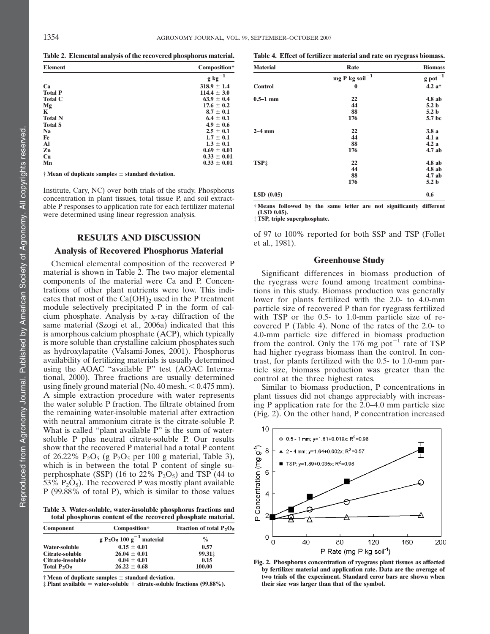Table 2. Elemental analysis of the recovered phosphorus material.

| <b>Element</b> | Composition†      |
|----------------|-------------------|
|                | $\rm g~{kg}^{-1}$ |
| Ca             | $318.9 \pm 1.4$   |
| <b>Total P</b> | $114.4 \pm 3.0$   |
| <b>Total C</b> | $63.9 \pm 0.4$    |
| Mg             | $17.6 \pm 0.2$    |
| K              | $8.7 \pm 0.1$     |
| <b>Total N</b> | $6.4 \pm 0.1$     |
| <b>Total S</b> | $4.9 \pm 0.6$     |
| Na             | $2.5 \pm 0.1$     |
| Fe             | $1.7 \pm 0.1$     |
| Al             | $1.3 \pm 0.1$     |
| Zn             | $0.69 \pm 0.01$   |
| Cu             | $0.33 \pm 0.01$   |
| Mn             | $0.33 \pm 0.01$   |

 $\dagger$  Mean of duplicate samples  $\pm$  standard deviation.

Institute, Cary, NC) over both trials of the study. Phosphorus concentration in plant tissues, total tissue P, and soil extractable P responses to application rate for each fertilizer material were determined using linear regression analysis.

#### RESULTS AND DISCUSSION

#### Analysis of Recovered Phosphorus Material

Chemical elemental composition of the recovered P material is shown in Table 2. The two major elemental components of the material were Ca and P. Concentrations of other plant nutrients were low. This indicates that most of the  $Ca(OH)_2$  used in the P treatment module selectively precipitated P in the form of calcium phosphate. Analysis by x-ray diffraction of the same material (Szogi et al., 2006a) indicated that this is amorphous calcium phosphate (ACP), which typically is more soluble than crystalline calcium phosphates such as hydroxylapatite (Valsami-Jones, 2001). Phosphorus availability of fertilizing materials is usually determined using the AOAC "available P" test (AOAC International, 2000). Three fractions are usually determined using finely ground material (No. 40 mesh,  $< 0.475$  mm). A simple extraction procedure with water represents the water soluble P fraction. The filtrate obtained from the remaining water-insoluble material after extraction with neutral ammonium citrate is the citrate-soluble P. What is called "plant available P" is the sum of watersoluble P plus neutral citrate-soluble P. Our results show that the recovered P material had a total P content of 26.22%  $P_2O_5$  (g  $P_2O_5$  per 100 g material, Table 3), which is in between the total P content of single superphosphate (SSP) (16 to 22%  $P_2O_5$ ) and TSP (44 to 53%  $P_2O_5$ ). The recovered P was mostly plant available P (99.88% of total P), which is similar to those values

Table 3. Water-soluble, water-insoluble phosphorus fractions and total phosphorus content of the recovered phosphate material.

| <b>Component</b>  | Composition <sup>†</sup>                                     | Fraction of total $P_2O_5$ |
|-------------------|--------------------------------------------------------------|----------------------------|
|                   | g P <sub>2</sub> O <sub>5</sub> 100 g <sup>-1</sup> material | $\%$                       |
| Water-soluble     | $0.15 \pm 0.01$                                              | 0.57                       |
| Citrate-soluble   | $26.04 \pm 0.01$                                             | 99.31 ±                    |
| Citrate-insoluble | $0.04 \pm 0.01$                                              | 0.15                       |
| Total $P_2O_5$    | $26.22 \pm 0.68$                                             | 100.00                     |

 $\dagger$  Mean of duplicate samples  $\pm$  standard deviation.

 $\ddagger$  Plant available = water-soluble + citrate-soluble fractions (99.88%).

| <b>Material</b> | Rate                 | <b>Biomass</b>          |
|-----------------|----------------------|-------------------------|
|                 | mg P kg soil $^{-1}$ | $\mathbf g$ pot $^{-1}$ |
| <b>Control</b>  | $\bf{0}$             | $4.2$ at                |
| $0.5 - 1$ mm    | 22                   | $4.8$ ab                |
|                 | 44                   | 5.2 <sub>b</sub>        |
|                 | 88                   | 5.2 <sub>b</sub>        |
|                 | 176                  | 5.7 bc                  |
| $2-4$ mm        | 22                   | 3.8a                    |
|                 | 44                   | 4.1 a                   |
|                 | 88                   | 4.2a                    |
|                 | 176                  | 4.7ab                   |
| TSP:            | 22                   | $4.8$ ab                |
|                 | 44                   | $4.8$ ab                |
|                 | 88                   | 4.7ab                   |
|                 | 176                  | 5.2 <sub>b</sub>        |
| LSD(0.05)       |                      | 0.6                     |

Table 4. Effect of fertilizer material and rate on ryegrass biomass.

† Means followed by the same letter are not significantly different (LSD 0.05).

‡ TSP, triple superphosphate.

of 97 to 100% reported for both SSP and TSP (Follet et al., 1981).

#### Greenhouse Study

Significant differences in biomass production of the ryegrass were found among treatment combinations in this study. Biomass production was generally lower for plants fertilized with the 2.0- to 4.0-mm particle size of recovered P than for ryegrass fertilized with TSP or the 0.5- to 1.0-mm particle size of recovered P (Table 4). None of the rates of the 2.0- to 4.0-mm particle size differed in biomass production from the control. Only the 176 mg pot<sup> $-1$ </sup> rate of TSP had higher ryegrass biomass than the control. In contrast, for plants fertilized with the 0.5- to 1.0-mm particle size, biomass production was greater than the control at the three highest rates.

Similar to biomass production, P concentrations in plant tissues did not change appreciably with increasing P application rate for the 2.0–4.0 mm particle size (Fig. 2). On the other hand, P concentration increased



Fig. 2. Phosphorus concentration of ryegrass plant tissues as affected by fertilizer material and application rate. Data are the average of two trials of the experiment. Standard error bars are shown when their size was larger than that of the symbol.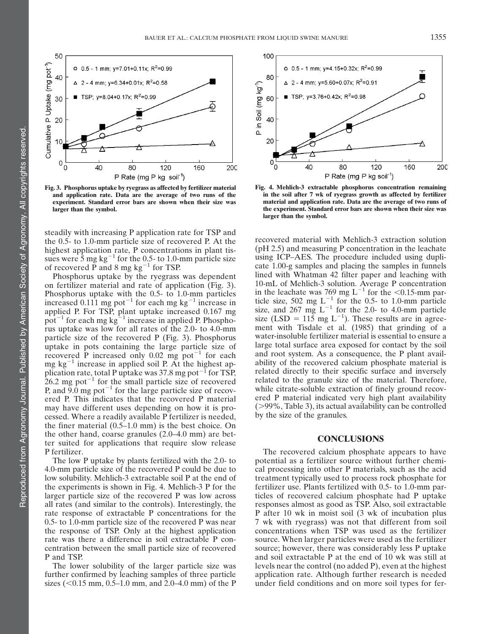

Fig. 3. Phosphorus uptake by ryegrass as affected by fertilizer material and application rate. Data are the average of two runs of the experiment. Standard error bars are shown when their size was larger than the symbol.

steadily with increasing P application rate for TSP and the 0.5- to 1.0-mm particle size of recovered P. At the highest application rate, P concentrations in plant tissues were 5 mg  $kg^{-1}$  for the 0.5- to 1.0-mm particle size of recovered P and 8 mg  $kg^{-1}$  for TSP.

Phosphorus uptake by the ryegrass was dependent on fertilizer material and rate of application (Fig. 3). Phosphorus uptake with the 0.5- to 1.0-mm particles increased 0.111 mg pot<sup>-1</sup> for each mg kg<sup>-1</sup> increase in applied P. For TSP, plant uptake increased 0.167 mg pot<sup>-1</sup> for each mg  $\text{kg}^{-1}$  increase in applied P. Phosphorus uptake was low for all rates of the 2.0- to 4.0-mm particle size of the recovered P (Fig. 3). Phosphorus uptake in pots containing the large particle size of recovered P increased only  $0.02$  mg pot<sup>-1</sup> for each mg  $kg^{-1}$  increase in applied soil P. At the highest application rate, total P uptake was 37.8 mg pot<sup> $-1$ </sup> for TSP,  $26.2$  mg pot<sup>-1</sup> for the small particle size of recovered P, and  $9.0 \text{ mg pot}^{-1}$  for the large particle size of recovered P. This indicates that the recovered P material may have different uses depending on how it is processed. Where a readily available P fertilizer is needed, the finer material (0.5–1.0 mm) is the best choice. On the other hand, coarse granules (2.0–4.0 mm) are better suited for applications that require slow release P fertilizer.

The low P uptake by plants fertilized with the 2.0- to 4.0-mm particle size of the recovered P could be due to low solubility. Mehlich-3 extractable soil P at the end of the experiments is shown in Fig. 4. Mehlich-3 P for the larger particle size of the recovered P was low across all rates (and similar to the controls). Interestingly, the rate response of extractable P concentrations for the 0.5- to 1.0-mm particle size of the recovered P was near the response of TSP. Only at the highest application rate was there a difference in soil extractable P concentration between the small particle size of recovered P and TSP.

The lower solubility of the larger particle size was further confirmed by leaching samples of three particle sizes ( $< 0.15$  mm, 0.5–1.0 mm, and 2.0–4.0 mm) of the P



Fig. 4. Mehlich-3 extractable phosphorus concentration remaining in the soil after 7 wk of ryegrass growth as affected by fertilizer material and application rate. Data are the average of two runs of the experiment. Standard error bars are shown when their size was larger than the symbol.

recovered material with Mehlich-3 extraction solution (pH 2.5) and measuring P concentration in the leachate using ICP–AES. The procedure included using duplicate 1.00-g samples and placing the samples in funnels lined with Whatman 42 filter paper and leaching with 10-mL of Mehlich-3 solution. Average P concentration in the leachate was 769 mg  $L^{-1}$  for the <0.15-mm particle size, 502 mg  $L^{-1}$  for the 0.5- to 1.0-mm particle size, and 267 mg  $L^{-1}$  for the 2.0- to 4.0-mm particle size (LSD =  $115 \text{ mg } L^{-1}$ ). These results are in agreement with Tisdale et al. (1985) that grinding of a water-insoluble fertilizer material is essential to ensure a large total surface area exposed for contact by the soil and root system. As a consequence, the P plant availability of the recovered calcium phosphate material is related directly to their specific surface and inversely related to the granule size of the material. Therefore, while citrate-soluble extraction of finely ground recovered P material indicated very high plant availability  $(>\!\!99\!\%$ , Table 3), its actual availability can be controlled by the size of the granules.

#### **CONCLUSIONS**

The recovered calcium phosphate appears to have potential as a fertilizer source without further chemical processing into other P materials, such as the acid treatment typically used to process rock phosphate for fertilizer use. Plants fertilized with 0.5- to 1.0-mm particles of recovered calcium phosphate had P uptake responses almost as good as TSP. Also, soil extractable P after 10 wk in moist soil (3 wk of incubation plus 7 wk with ryegrass) was not that different from soil concentrations when TSP was used as the fertilizer source. When larger particles were used as the fertilizer source; however, there was considerably less P uptake and soil extractable P at the end of 10 wk was still at levels near the control (no added P), even at the highest application rate. Although further research is needed under field conditions and on more soil types for fer-